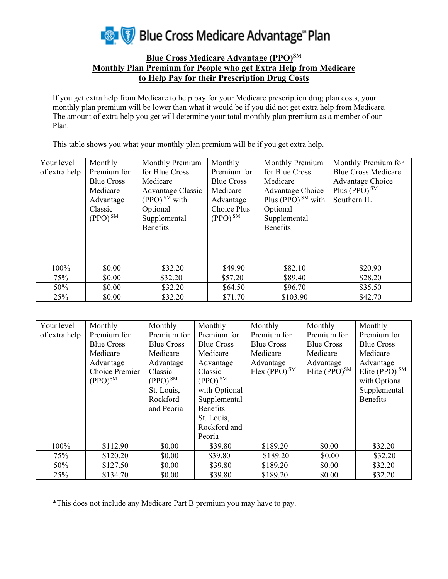

## **Blue Cross Medicare Advantage (PPO)**SM **Monthly Plan Premium for People who get Extra Help from Medicare to Help Pay for their Prescription Drug Costs**

If you get extra help from Medicare to help pay for your Medicare prescription drug plan costs, your monthly plan premium will be lower than what it would be if you did not get extra help from Medicare. The amount of extra help you get will determine your total monthly plan premium as a member of our Plan.

This table shows you what your monthly plan premium will be if you get extra help.

| Your level    | Monthly           | Monthly Premium            | Monthly           | Monthly Premium         | Monthly Premium for        |
|---------------|-------------------|----------------------------|-------------------|-------------------------|----------------------------|
| of extra help | Premium for       | for Blue Cross             | Premium for       | for Blue Cross          | <b>Blue Cross Medicare</b> |
|               | <b>Blue Cross</b> | Medicare                   | <b>Blue Cross</b> | Medicare                | Advantage Choice           |
|               | Medicare          | Advantage Classic          | Medicare          | Advantage Choice        | Plus (PPO) $^{SM}$         |
|               | Advantage         | $(PPO)$ <sup>SM</sup> with | Advantage         | Plus (PPO) $^{SM}$ with | Southern IL                |
|               | Classic           | Optional                   | Choice Plus       | Optional                |                            |
|               | $(PPO)^{SM}$      | Supplemental               | $(PPO)^{SM}$      | Supplemental            |                            |
|               |                   | <b>Benefits</b>            |                   | <b>Benefits</b>         |                            |
|               |                   |                            |                   |                         |                            |
|               |                   |                            |                   |                         |                            |
|               |                   |                            |                   |                         |                            |
| 100%          | \$0.00            | \$32.20                    | \$49.90           | \$82.10                 | \$20.90                    |
| 75%           | \$0.00            | \$32.20                    | \$57.20           | \$89.40                 | \$28.20                    |
| 50%           | \$0.00            | \$32.20                    | \$64.50           | \$96.70                 | \$35.50                    |
| 25%           | \$0.00            | \$32.20                    | \$71.70           | \$103.90                | \$42.70                    |

| Your level    | Monthly           | Monthly           | Monthly           | Monthly           | Monthly            | Monthly                 |
|---------------|-------------------|-------------------|-------------------|-------------------|--------------------|-------------------------|
| of extra help | Premium for       | Premium for       | Premium for       | Premium for       | Premium for        | Premium for             |
|               | <b>Blue Cross</b> | <b>Blue Cross</b> | <b>Blue Cross</b> | <b>Blue Cross</b> | <b>Blue Cross</b>  | <b>Blue Cross</b>       |
|               | Medicare          | Medicare          | Medicare          | Medicare          | Medicare           | Medicare                |
|               | Advantage         | Advantage         | Advantage         | Advantage         | Advantage          | Advantage               |
|               | Choice Premier    | Classic           | Classic           | $Flex (PPO)^{SM}$ | Elite $(PPO)^{SM}$ | Elite (PPO) $\text{SM}$ |
|               | $(PPO)^{SM}$      | $(PPO)^{SM}$      | $(PPO)^{SM}$      |                   |                    | with Optional           |
|               |                   | St. Louis,        | with Optional     |                   |                    | Supplemental            |
|               |                   | Rockford          | Supplemental      |                   |                    | <b>Benefits</b>         |
|               |                   | and Peoria        | <b>Benefits</b>   |                   |                    |                         |
|               |                   |                   | St. Louis,        |                   |                    |                         |
|               |                   |                   | Rockford and      |                   |                    |                         |
|               |                   |                   | Peoria            |                   |                    |                         |
| 100%          | \$112.90          | \$0.00            | \$39.80           | \$189.20          | \$0.00             | \$32.20                 |
| 75%           | \$120.20          | \$0.00            | \$39.80           | \$189.20          | \$0.00             | \$32.20                 |
| 50%           | \$127.50          | \$0.00            | \$39.80           | \$189.20          | \$0.00             | \$32.20                 |
| 25%           | \$134.70          | \$0.00            | \$39.80           | \$189.20          | \$0.00             | \$32.20                 |

\*This does not include any Medicare Part B premium you may have to pay.